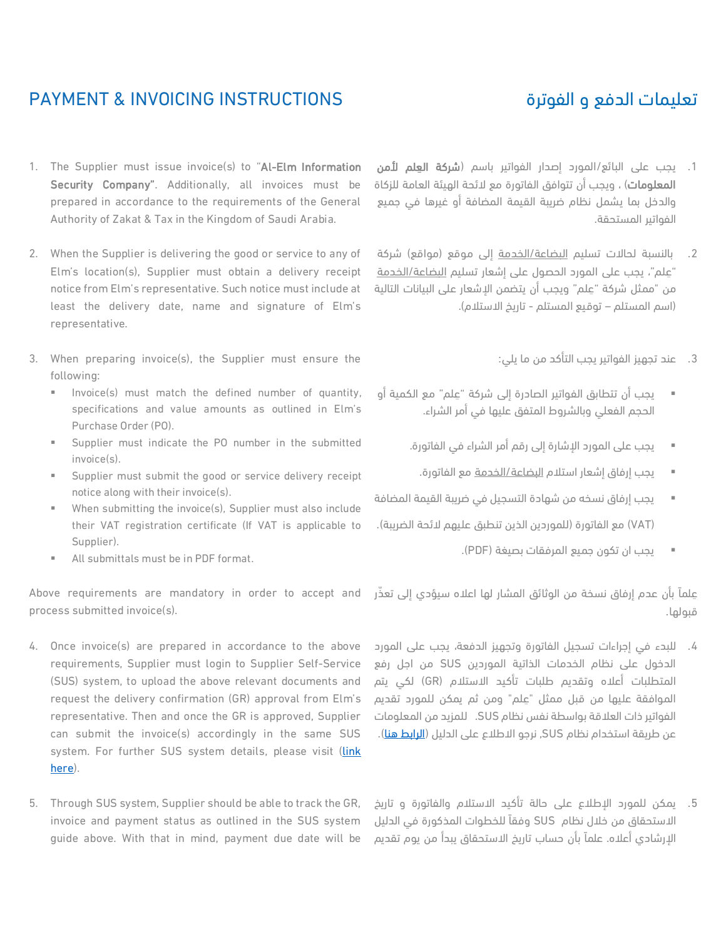## PAYMENT & INVOICING INSTRUCTIONS

- 1. يجب على البائع/المورد إصدار الفواتير باسم (**شركة العِلم لأمن** ا**لمعلومات**) ، ويجب أن تتوافق الفاتورة مع لائحة الهيئة العامة للزكاة والدخل بما يشمل نظام ضريبة القيمة المضافة أو غيرها في جميع الفواتير المستحقة.
	- 2. بالنسبة لحالات تسليم <u>البضاعة/الخدمة</u> إلى موقع (مواقع) شركة "عِلم"، يجب على المورد الحصول على إشعار تسليم البضاعة/الخدمة من "ممثل شركة "عِلم" ويجب أن يتضمن الإشعار على البيانات التالية )اسم المستلم – توقيع المستلم - تاريخ االستالم(.
		- .3 عند تجهيز الفواتير يجب التأكد من ما يلي:
	- يجب أن تتطابق الفواتير الصادرة إلى شركة "علم" مع الكمية أو الحجم الفعلي وبالشروط المتفق عليها في أمر الشراء.
		- يجب على المورد اإلشارة إلى رقم أمر الشراء في الفاتورة.
		- يجب إرفاق إشعار استالم البضاعة/الخدمة مع الفاتورة.
	- يجب إرفاق نسخه من شهادة التسجيل في ضريبة القيمة المضافة )VAT )مع الفاتورة )للموردين الذين تنطبق عليهم الئحة الضريبة(.
		- يجب ان تكون جميع المرفقات بصيغة )PDF).

علماً بأن عدم إرفاق نسخة من الوثائق المشار لها اعلاه سيؤدي إلى تعذّر قبولها.

- .4 للبدء في إجراءات تسجيل الفاتورة وتجهيز الدفعة، يجب على المورد الدخول على نظام الخدمات الذاتية الموردين SUS من اجل رفع المتطلبات أعاله وتقديم طلبات تأكيد االستالم (GR (لكي يتم الموافقة عليها من قبل ممثل "عِلم" ومن ثم يمكن للمورد تقديم الفواتير ذات العالقة بواسطة نفس نظام SUS. للمزيد من المعلومات عن طريقة استخدام نظام SUS, نرجو الاطلاع على الدليل (<mark>الرابط هن</mark>ا).
- .5 يمكن للمورد اإلطالع على حالة تأكيد االستالم والفاتورة و تاريخ االستحقاق من خالل نظام SUS وفقا للخطوات المذكورة في الدليل اإلرشادي أعاله. علما بأن حساب تاريخ االستحقاق يبدأ من يوم تقديم
- 1. The Supplier must issue invoice(s) to "Al-Elm Information Security Company". Additionally, all invoices must be prepared in accordance to the requirements of the General Authority of Zakat & Tax in the Kingdom of Saudi Arabia.
- 2. When the Supplier is delivering the good or service to any of Elm's location(s), Supplier must obtain a delivery receipt notice from Elm's representative. Such notice must include at least the delivery date, name and signature of Elm's representative.
- 3. When preparing invoice(s), the Supplier must ensure the following:
	- Invoice(s) must match the defined number of quantity, specifications and value amounts as outlined in Elm's Purchase Order (PO).
	- Supplier must indicate the PO number in the submitted invoice(s).
	- Supplier must submit the good or service delivery receipt notice along with their invoice(s).
	- When submitting the invoice(s), Supplier must also include their VAT registration certificate (If VAT is applicable to Supplier).
	- All submittals must be in PDF format.

Above requirements are mandatory in order to accept and process submitted invoice(s).

- 4. Once invoice(s) are prepared in accordance to the above requirements, Supplier must login to Supplier Self-Service (SUS) system, to upload the above relevant documents and request the delivery confirmation (GR) approval from Elm's representative. Then and once the GR is approved, Supplier can submit the invoice(s) accordingly in the same SUS system. For further SUS system details, please visit [\(link](https://www.elm.sa/en/About/vendors/Documents/End_user_manual_for_suppliers.pdf)  [here\)](https://www.elm.sa/en/About/vendors/Documents/End_user_manual_for_suppliers.pdf).
- 5. Through SUS system, Supplier should be able to track the GR, invoice and payment status as outlined in the SUS system guide above. With that in mind, payment due date will be

## تعليمات الدفع و الفوترة